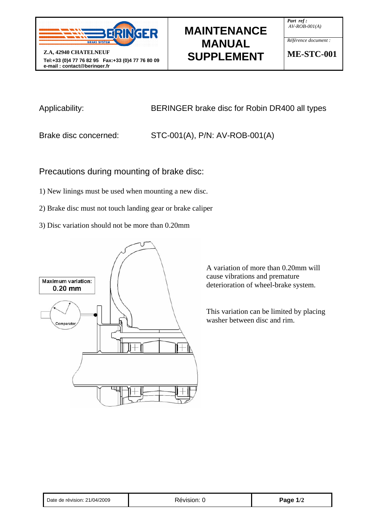

# **MAINTENANCE MANUAL SUPPLEMENT**

*Part ref : AV-ROB-001(A)*

*Référence document :* 

**ME-STC-001** 

Applicability: BERINGER brake disc for Robin DR400 all types

Brake disc concerned: STC-001(A), P/N: AV-ROB-001(A)

Precautions during mounting of brake disc:

1) New linings must be used when mounting a new disc.

2) Brake disc must not touch landing gear or brake caliper

3) Disc variation should not be more than 0.20mm



A variation of more than 0.20mm will cause vibrations and premature deterioration of wheel-brake system.

This variation can be limited by placing washer between disc and rim.

| Date de révision: 21/04/2009 |  |
|------------------------------|--|
|------------------------------|--|